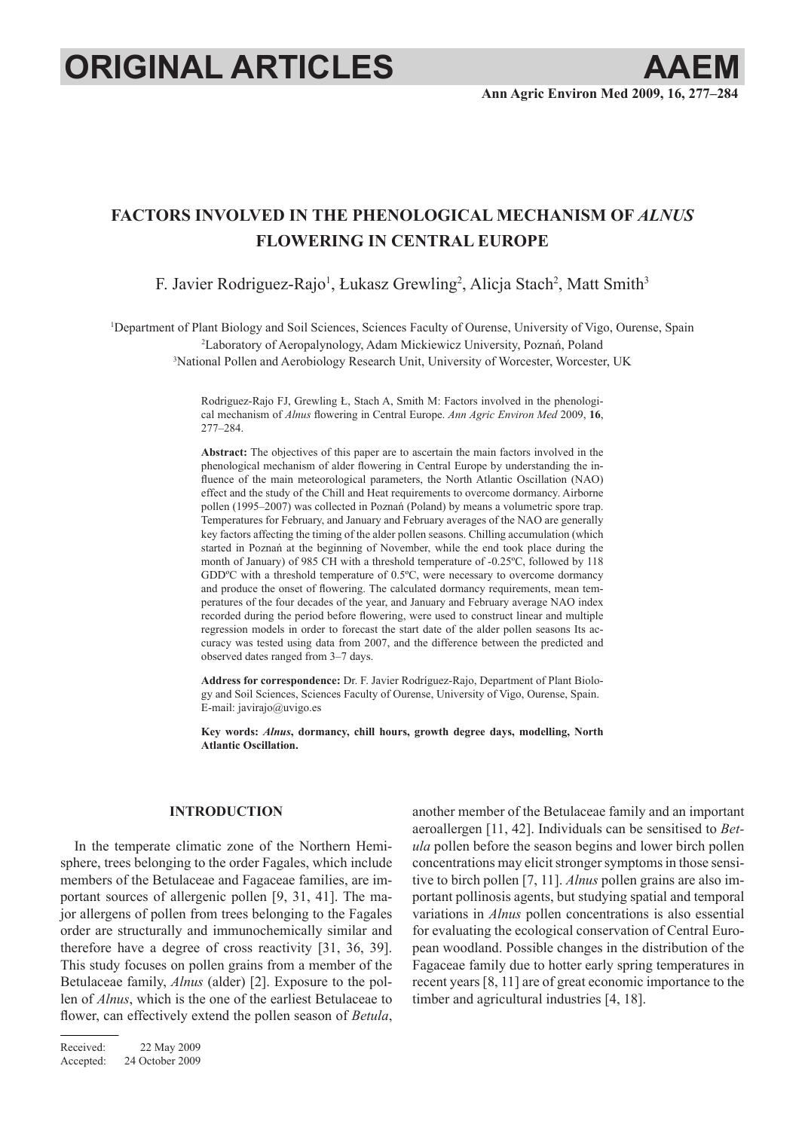# **ORIGINAL ARTICLES AAEM**

## **Factors involved in the phenological mechanism of** *Alnus* **flowering in Central Europe**

F. Javier Rodriguez-Rajo<sup>1</sup>, Łukasz Grewling<sup>2</sup>, Alicja Stach<sup>2</sup>, Matt Smith<sup>3</sup>

1 Department of Plant Biology and Soil Sciences, Sciences Faculty of Ourense, University of Vigo, Ourense, Spain 2 Laboratory of Aeropalynology, Adam Mickiewicz University, Poznań, Poland 3 National Pollen and Aerobiology Research Unit, University of Worcester, Worcester, UK

> Rodriguez-Rajo FJ, Grewling Ł, Stach A, Smith M: Factors involved in the phenological mechanism of *Alnus* flowering in Central Europe. *Ann Agric Environ Med* 2009, **16**, 277–284.

> **Abstract:** The objectives of this paper are to ascertain the main factors involved in the phenological mechanism of alder flowering in Central Europe by understanding the influence of the main meteorological parameters, the North Atlantic Oscillation (NAO) effect and the study of the Chill and Heat requirements to overcome dormancy. Airborne pollen (1995–2007) was collected in Poznań (Poland) by means a volumetric spore trap. Temperatures for February, and January and February averages of the NAO are generally key factors affecting the timing of the alder pollen seasons. Chilling accumulation (which started in Poznań at the beginning of November, while the end took place during the month of January) of 985 CH with a threshold temperature of -0.25ºC, followed by 118 GDDºC with a threshold temperature of 0.5ºC, were necessary to overcome dormancy and produce the onset of flowering. The calculated dormancy requirements, mean temperatures of the four decades of the year, and January and February average NAO index recorded during the period before flowering, were used to construct linear and multiple regression models in order to forecast the start date of the alder pollen seasons Its accuracy was tested using data from 2007, and the difference between the predicted and observed dates ranged from 3–7 days.

> **Address for correspondence:** Dr. F. Javier Rodríguez-Rajo, Department of Plant Biology and Soil Sciences, Sciences Faculty of Ourense, University of Vigo, Ourense, Spain. E-mail: javirajo@uvigo.es

> **Key words:** *Alnus***, dormancy, chill hours, growth degree days, modelling, North Atlantic Oscillation.**

### **INTRODUCTION**

In the temperate climatic zone of the Northern Hemisphere, trees belonging to the order Fagales, which include members of the Betulaceae and Fagaceae families, are important sources of allergenic pollen [9, 31, 41]. The major allergens of pollen from trees belonging to the Fagales order are structurally and immunochemically similar and therefore have a degree of cross reactivity [31, 36, 39]. This study focuses on pollen grains from a member of the Betulaceae family, *Alnus* (alder) [2]. Exposure to the pollen of *Alnus*, which is the one of the earliest Betulaceae to flower, can effectively extend the pollen season of *Betula*,

Received: 22 May 2009 Accepted: 24 October 2009 another member of the Betulaceae family and an important aeroallergen [11, 42]. Individuals can be sensitised to *Betula* pollen before the season begins and lower birch pollen concentrations may elicit stronger symptoms in those sensitive to birch pollen [7, 11]. *Alnus* pollen grains are also important pollinosis agents, but studying spatial and temporal variations in *Alnus* pollen concentrations is also essential for evaluating the ecological conservation of Central European woodland. Possible changes in the distribution of the Fagaceae family due to hotter early spring temperatures in recent years [8, 11] are of great economic importance to the timber and agricultural industries [4, 18].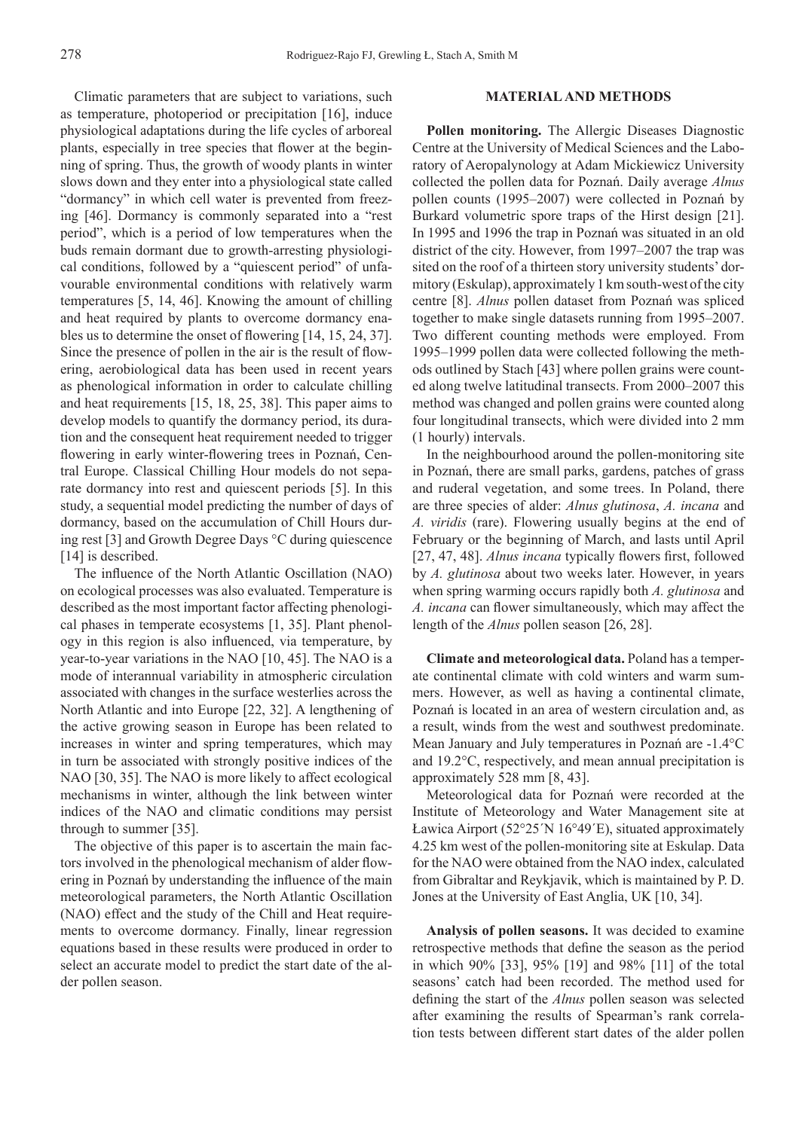Climatic parameters that are subject to variations, such as temperature, photoperiod or precipitation [16], induce physiological adaptations during the life cycles of arboreal plants, especially in tree species that flower at the beginning of spring. Thus, the growth of woody plants in winter slows down and they enter into a physiological state called "dormancy" in which cell water is prevented from freezing [46]. Dormancy is commonly separated into a "rest period", which is a period of low temperatures when the buds remain dormant due to growth-arresting physiological conditions, followed by a "quiescent period" of unfavourable environmental conditions with relatively warm temperatures [5, 14, 46]. Knowing the amount of chilling and heat required by plants to overcome dormancy enables us to determine the onset of flowering [14, 15, 24, 37]. Since the presence of pollen in the air is the result of flowering, aerobiological data has been used in recent years as phenological information in order to calculate chilling and heat requirements [15, 18, 25, 38]. This paper aims to develop models to quantify the dormancy period, its duration and the consequent heat requirement needed to trigger flowering in early winter-flowering trees in Poznań, Central Europe. Classical Chilling Hour models do not separate dormancy into rest and quiescent periods [5]. In this study, a sequential model predicting the number of days of dormancy, based on the accumulation of Chill Hours during rest [3] and Growth Degree Days °C during quiescence [14] is described.

The influence of the North Atlantic Oscillation (NAO) on ecological processes was also evaluated. Temperature is described as the most important factor affecting phenological phases in temperate ecosystems [1, 35]. Plant phenology in this region is also influenced, via temperature, by year-to-year variations in the NAO [10, 45]. The NAO is a mode of interannual variability in atmospheric circulation associated with changes in the surface westerlies across the North Atlantic and into Europe [22, 32]. A lengthening of the active growing season in Europe has been related to increases in winter and spring temperatures, which may in turn be associated with strongly positive indices of the NAO [30, 35]. The NAO is more likely to affect ecological mechanisms in winter, although the link between winter indices of the NAO and climatic conditions may persist through to summer [35].

The objective of this paper is to ascertain the main factors involved in the phenological mechanism of alder flowering in Poznań by understanding the influence of the main meteorological parameters, the North Atlantic Oscillation (NAO) effect and the study of the Chill and Heat requirements to overcome dormancy. Finally, linear regression equations based in these results were produced in order to select an accurate model to predict the start date of the alder pollen season.

#### **MATERIALAND METHODS**

**Pollen monitoring.** The Allergic Diseases Diagnostic Centre at the University of Medical Sciences and the Laboratory of Aeropalynology at Adam Mickiewicz University collected the pollen data for Poznań. Daily average *Alnus* pollen counts (1995–2007) were collected in Poznań by Burkard volumetric spore traps of the Hirst design [21]. In 1995 and 1996 the trap in Poznań was situated in an old district of the city. However, from 1997–2007 the trap was sited on the roof of a thirteen story university students' dormitory (Eskulap), approximately 1 km south-west of the city centre [8]. *Alnus* pollen dataset from Poznań was spliced together to make single datasets running from 1995–2007. Two different counting methods were employed. From 1995–1999 pollen data were collected following the methods outlined by Stach [43] where pollen grains were counted along twelve latitudinal transects. From 2000–2007 this method was changed and pollen grains were counted along four longitudinal transects, which were divided into 2 mm (1 hourly) intervals.

In the neighbourhood around the pollen-monitoring site in Poznań, there are small parks, gardens, patches of grass and ruderal vegetation, and some trees. In Poland, there are three species of alder: *Alnus glutinosa*, *A. incana* and *A. viridis* (rare). Flowering usually begins at the end of February or the beginning of March, and lasts until April [27, 47, 48]. *Alnus incana* typically flowers first, followed by *A. glutinosa* about two weeks later. However, in years when spring warming occurs rapidly both *A. glutinosa* and *A. incana* can flower simultaneously, which may affect the length of the *Alnus* pollen season [26, 28].

**Climate and meteorological data.** Poland has a temperate continental climate with cold winters and warm summers. However, as well as having a continental climate, Poznań is located in an area of western circulation and, as a result, winds from the west and southwest predominate. Mean January and July temperatures in Poznań are -1.4°C and 19.2°C, respectively, and mean annual precipitation is approximately 528 mm [8, 43].

Meteorological data for Poznań were recorded at the Institute of Meteorology and Water Management site at Ławica Airport (52°25΄N 16°49΄E), situated approximately 4.25 km west of the pollen-monitoring site at Eskulap. Data for the NAO were obtained from the NAO index, calculated from Gibraltar and Reykjavik, which is maintained by P. D. Jones at the University of East Anglia, UK [10, 34].

**Analysis of pollen seasons.** It was decided to examine retrospective methods that define the season as the period in which 90% [33], 95% [19] and 98% [11] of the total seasons' catch had been recorded. The method used for defining the start of the *Alnus* pollen season was selected after examining the results of Spearman's rank correlation tests between different start dates of the alder pollen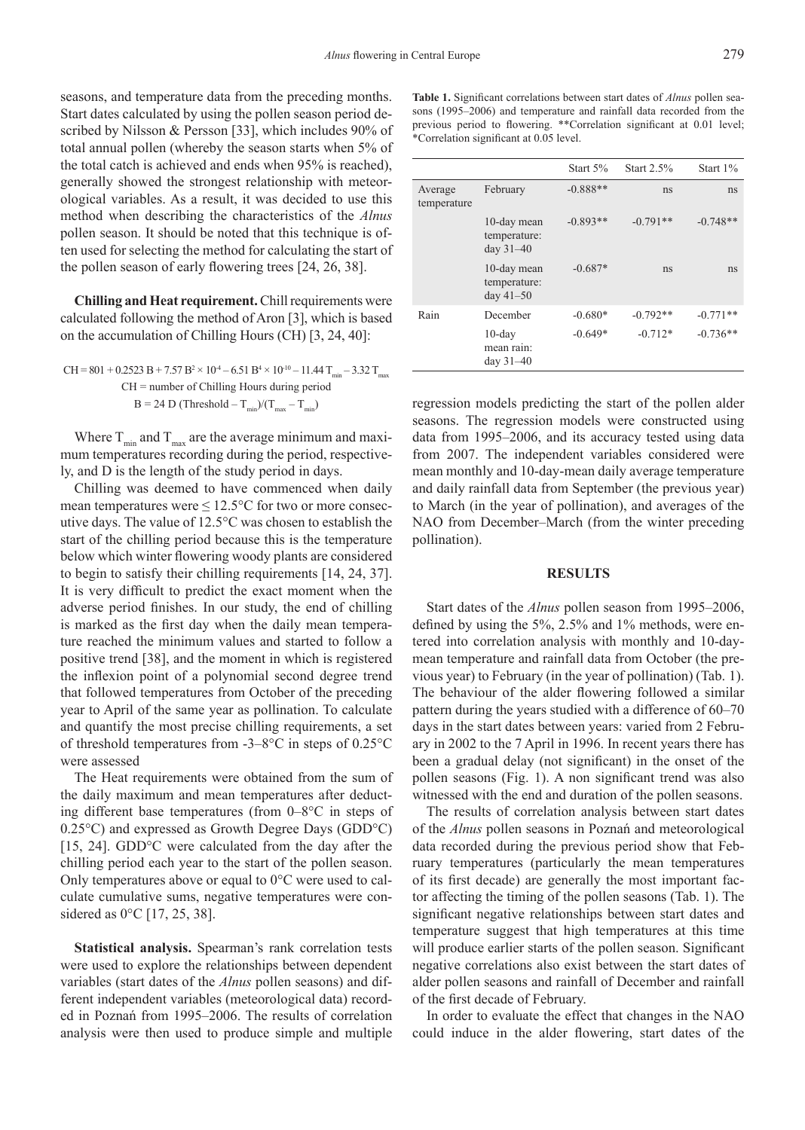seasons, and temperature data from the preceding months. Start dates calculated by using the pollen season period described by Nilsson & Persson [33], which includes 90% of total annual pollen (whereby the season starts when 5% of the total catch is achieved and ends when 95% is reached), generally showed the strongest relationship with meteorological variables. As a result, it was decided to use this method when describing the characteristics of the *Alnus* pollen season. It should be noted that this technique is often used for selecting the method for calculating the start of the pollen season of early flowering trees [24, 26, 38].

**Chilling and Heat requirement.** Chill requirements were calculated following the method of Aron [3], which is based on the accumulation of Chilling Hours (CH) [3, 24, 40]:

CH = 801 + 0.2523 B + 7.57 B2 × 10-4 – 6.51 B4 × 10-10 – 11.44 Tmin – 3.32 Tmax CH = number of Chilling Hours during period B = 24 D (Threshold – Tmin)/(Tmax – Tmin)

Where  $T_{min}$  and  $T_{max}$  are the average minimum and maximum temperatures recording during the period, respectively, and D is the length of the study period in days.

Chilling was deemed to have commenced when daily mean temperatures were  $\leq 12.5$ °C for two or more consecutive days. The value of 12.5°C was chosen to establish the start of the chilling period because this is the temperature below which winter flowering woody plants are considered to begin to satisfy their chilling requirements [14, 24, 37]. It is very difficult to predict the exact moment when the adverse period finishes. In our study, the end of chilling is marked as the first day when the daily mean temperature reached the minimum values and started to follow a positive trend [38], and the moment in which is registered the inflexion point of a polynomial second degree trend that followed temperatures from October of the preceding year to April of the same year as pollination. To calculate and quantify the most precise chilling requirements, a set of threshold temperatures from -3–8°C in steps of 0.25°C were assessed

The Heat requirements were obtained from the sum of the daily maximum and mean temperatures after deducting different base temperatures (from 0–8°C in steps of 0.25°C) and expressed as Growth Degree Days (GDD°C) [15, 24]. GDD°C were calculated from the day after the chilling period each year to the start of the pollen season. Only temperatures above or equal to 0°C were used to calculate cumulative sums, negative temperatures were considered as 0°C [17, 25, 38].

**Statistical analysis.** Spearman's rank correlation tests were used to explore the relationships between dependent variables (start dates of the *Alnus* pollen seasons) and different independent variables (meteorological data) recorded in Poznań from 1995–2006. The results of correlation analysis were then used to produce simple and multiple

**Table 1.** Significant correlations between start dates of *Alnus* pollen seasons (1995–2006) and temperature and rainfall data recorded from the previous period to flowering. \*\*Correlation significant at 0.01 level; \*Correlation significant at 0.05 level.

|                        |                                            | Start 5%   | Start $2.5\%$ | Start 1%   |
|------------------------|--------------------------------------------|------------|---------------|------------|
| Average<br>temperature | February                                   | $-0.888**$ | ns            | ns         |
|                        | 10-day mean<br>temperature:<br>day $31-40$ | $-0.893**$ | $-0.791**$    | $-0.748**$ |
|                        | 10-day mean<br>temperature:<br>day $41-50$ | $-0.687*$  | ns            | ns         |
| Rain                   | December                                   | $-0.680*$  | $-0.792**$    | $-0.771**$ |
|                        | $10$ -day<br>mean rain:<br>day $31-40$     | $-0.649*$  | $-0.712*$     | $-0.736**$ |

regression models predicting the start of the pollen alder seasons. The regression models were constructed using data from 1995–2006, and its accuracy tested using data from 2007. The independent variables considered were mean monthly and 10-day-mean daily average temperature and daily rainfall data from September (the previous year) to March (in the year of pollination), and averages of the NAO from December–March (from the winter preceding pollination).

#### **RESULTS**

Start dates of the *Alnus* pollen season from 1995–2006, defined by using the 5%, 2.5% and 1% methods, were entered into correlation analysis with monthly and 10-daymean temperature and rainfall data from October (the previous year) to February (in the year of pollination) (Tab. 1). The behaviour of the alder flowering followed a similar pattern during the years studied with a difference of 60–70 days in the start dates between years: varied from 2 February in 2002 to the 7 April in 1996. In recent years there has been a gradual delay (not significant) in the onset of the pollen seasons (Fig. 1). A non significant trend was also witnessed with the end and duration of the pollen seasons.

The results of correlation analysis between start dates of the *Alnus* pollen seasons in Poznań and meteorological data recorded during the previous period show that February temperatures (particularly the mean temperatures of its first decade) are generally the most important factor affecting the timing of the pollen seasons (Tab. 1). The significant negative relationships between start dates and temperature suggest that high temperatures at this time will produce earlier starts of the pollen season. Significant negative correlations also exist between the start dates of alder pollen seasons and rainfall of December and rainfall of the first decade of February.

In order to evaluate the effect that changes in the NAO could induce in the alder flowering, start dates of the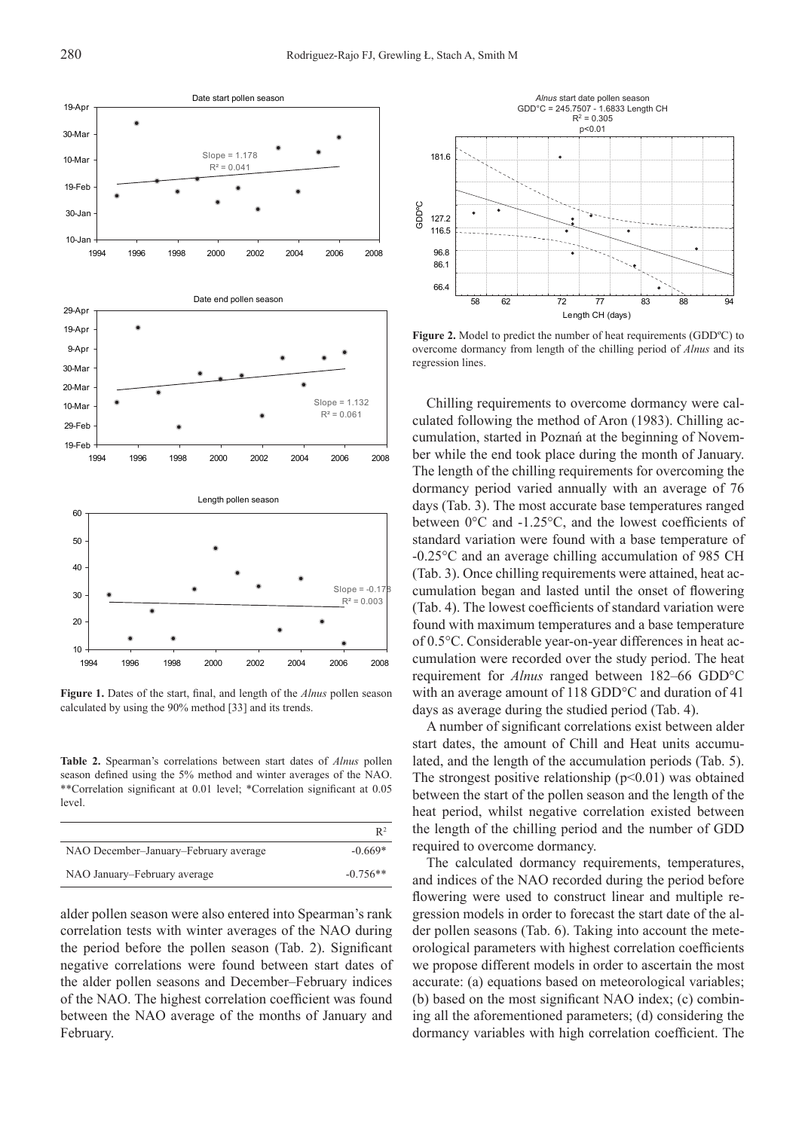

**Figure 1.** Dates of the start, final, and length of the *Alnus* pollen season calculated by using the 90% method [33] and its trends.

**Table 2.** Spearman's correlations between start dates of *Alnus* pollen season defined using the 5% method and winter averages of the NAO. \*\*Correlation significant at 0.01 level; \*Correlation significant at 0.05 level.

|                                       | R <sup>2</sup> |
|---------------------------------------|----------------|
| NAO December-January-February average | $-0.669*$      |
| NAO January–February average          | $-0.756**$     |

alder pollen season were also entered into Spearman's rank correlation tests with winter averages of the NAO during the period before the pollen season (Tab. 2). Significant negative correlations were found between start dates of the alder pollen seasons and December–February indices of the NAO. The highest correlation coefficient was found between the NAO average of the months of January and February.



**Figure 2.** Model to predict the number of heat requirements (GDDºC) to overcome dormancy from length of the chilling period of *Alnus* and its regression lines.

Chilling requirements to overcome dormancy were calculated following the method of Aron (1983). Chilling accumulation, started in Poznań at the beginning of November while the end took place during the month of January. The length of the chilling requirements for overcoming the dormancy period varied annually with an average of 76 days (Tab. 3). The most accurate base temperatures ranged between 0°C and -1.25°C, and the lowest coefficients of standard variation were found with a base temperature of -0.25°C and an average chilling accumulation of 985 CH (Tab. 3). Once chilling requirements were attained, heat accumulation began and lasted until the onset of flowering (Tab. 4). The lowest coefficients of standard variation were found with maximum temperatures and a base temperature of 0.5°C. Considerable year-on-year differences in heat accumulation were recorded over the study period. The heat requirement for *Alnus* ranged between 182–66 GDD°C with an average amount of 118 GDD°C and duration of 41 days as average during the studied period (Tab. 4).

A number of significant correlations exist between alder start dates, the amount of Chill and Heat units accumulated, and the length of the accumulation periods (Tab. 5). The strongest positive relationship  $(p<0.01)$  was obtained between the start of the pollen season and the length of the heat period, whilst negative correlation existed between the length of the chilling period and the number of GDD required to overcome dormancy.

The calculated dormancy requirements, temperatures, and indices of the NAO recorded during the period before flowering were used to construct linear and multiple regression models in order to forecast the start date of the alder pollen seasons (Tab. 6). Taking into account the meteorological parameters with highest correlation coefficients we propose different models in order to ascertain the most accurate: (a) equations based on meteorological variables; (b) based on the most significant NAO index; (c) combining all the aforementioned parameters; (d) considering the dormancy variables with high correlation coefficient. The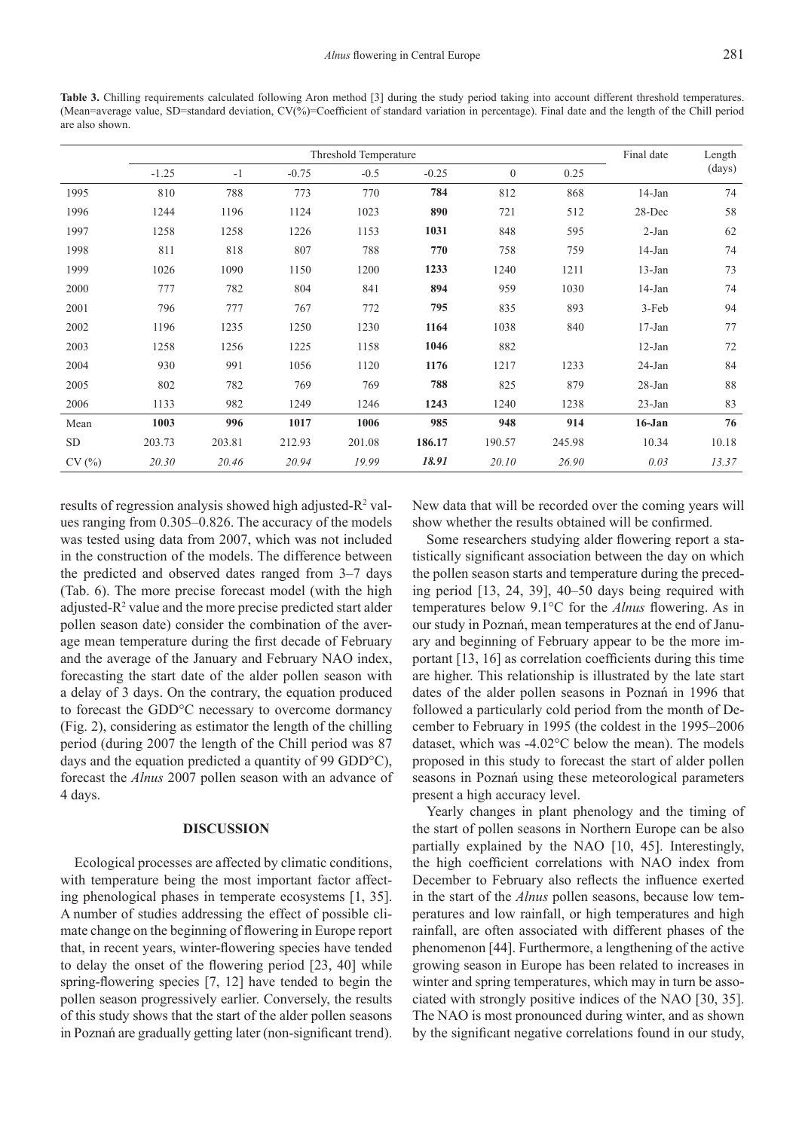**Table 3.** Chilling requirements calculated following Aron method [3] during the study period taking into account different threshold temperatures. (Mean=average value, SD=standard deviation, CV(%)=Coefficient of standard variation in percentage). Final date and the length of the Chill period are also shown.

|           | Threshold Temperature |        |         |        |         |              | Final date | Length     |        |
|-----------|-----------------------|--------|---------|--------|---------|--------------|------------|------------|--------|
|           | $-1.25$               | $-1$   | $-0.75$ | $-0.5$ | $-0.25$ | $\mathbf{0}$ | 0.25       |            | (days) |
| 1995      | 810                   | 788    | 773     | 770    | 784     | 812          | 868        | $14-Jan$   | 74     |
| 1996      | 1244                  | 1196   | 1124    | 1023   | 890     | 721          | 512        | 28-Dec     | 58     |
| 1997      | 1258                  | 1258   | 1226    | 1153   | 1031    | 848          | 595        | 2-Jan      | 62     |
| 1998      | 811                   | 818    | 807     | 788    | 770     | 758          | 759        | $14$ -Jan  | 74     |
| 1999      | 1026                  | 1090   | 1150    | 1200   | 1233    | 1240         | 1211       | $13-Jan$   | 73     |
| 2000      | 777                   | 782    | 804     | 841    | 894     | 959          | 1030       | $14-Jan$   | 74     |
| 2001      | 796                   | 777    | 767     | 772    | 795     | 835          | 893        | 3-Feb      | 94     |
| 2002      | 1196                  | 1235   | 1250    | 1230   | 1164    | 1038         | 840        | $17 - Jan$ | 77     |
| 2003      | 1258                  | 1256   | 1225    | 1158   | 1046    | 882          |            | $12-Jan$   | 72     |
| 2004      | 930                   | 991    | 1056    | 1120   | 1176    | 1217         | 1233       | 24-Jan     | 84     |
| 2005      | 802                   | 782    | 769     | 769    | 788     | 825          | 879        | $28 - Jan$ | 88     |
| 2006      | 1133                  | 982    | 1249    | 1246   | 1243    | 1240         | 1238       | $23$ -Jan  | 83     |
| Mean      | 1003                  | 996    | 1017    | 1006   | 985     | 948          | 914        | $16 - Jan$ | 76     |
| <b>SD</b> | 203.73                | 203.81 | 212.93  | 201.08 | 186.17  | 190.57       | 245.98     | 10.34      | 10.18  |
| CV(%)     | 20.30                 | 20.46  | 20.94   | 19.99  | 18.91   | 20.10        | 26.90      | 0.03       | 13.37  |

results of regression analysis showed high adjusted- $\mathsf{R}^2$  values ranging from 0.305–0.826. The accuracy of the models was tested using data from 2007, which was not included in the construction of the models. The difference between the predicted and observed dates ranged from 3–7 days (Tab. 6). The more precise forecast model (with the high adjusted- $R<sup>2</sup>$  value and the more precise predicted start alder pollen season date) consider the combination of the average mean temperature during the first decade of February and the average of the January and February NAO index, forecasting the start date of the alder pollen season with a delay of 3 days. On the contrary, the equation produced to forecast the GDD°C necessary to overcome dormancy (Fig. 2), considering as estimator the length of the chilling period (during 2007 the length of the Chill period was 87 days and the equation predicted a quantity of 99 GDD°C), forecast the *Alnus* 2007 pollen season with an advance of 4 days.

#### **DISCUSSION**

Ecological processes are affected by climatic conditions, with temperature being the most important factor affecting phenological phases in temperate ecosystems [1, 35]. A number of studies addressing the effect of possible climate change on the beginning of flowering in Europe report that, in recent years, winter-flowering species have tended to delay the onset of the flowering period [23, 40] while spring-flowering species [7, 12] have tended to begin the pollen season progressively earlier. Conversely, the results of this study shows that the start of the alder pollen seasons in Poznań are gradually getting later (non-significant trend).

New data that will be recorded over the coming years will show whether the results obtained will be confirmed.

Some researchers studying alder flowering report a statistically significant association between the day on which the pollen season starts and temperature during the preceding period [13, 24, 39], 40–50 days being required with temperatures below 9.1°C for the *Alnus* flowering. As in our study in Poznań, mean temperatures at the end of January and beginning of February appear to be the more important [13, 16] as correlation coefficients during this time are higher. This relationship is illustrated by the late start dates of the alder pollen seasons in Poznań in 1996 that followed a particularly cold period from the month of December to February in 1995 (the coldest in the 1995–2006 dataset, which was -4.02°C below the mean). The models proposed in this study to forecast the start of alder pollen seasons in Poznań using these meteorological parameters present a high accuracy level.

Yearly changes in plant phenology and the timing of the start of pollen seasons in Northern Europe can be also partially explained by the NAO [10, 45]. Interestingly, the high coefficient correlations with NAO index from December to February also reflects the influence exerted in the start of the *Alnus* pollen seasons, because low temperatures and low rainfall, or high temperatures and high rainfall, are often associated with different phases of the phenomenon [44]. Furthermore, a lengthening of the active growing season in Europe has been related to increases in winter and spring temperatures, which may in turn be associated with strongly positive indices of the NAO [30, 35]. The NAO is most pronounced during winter, and as shown by the significant negative correlations found in our study,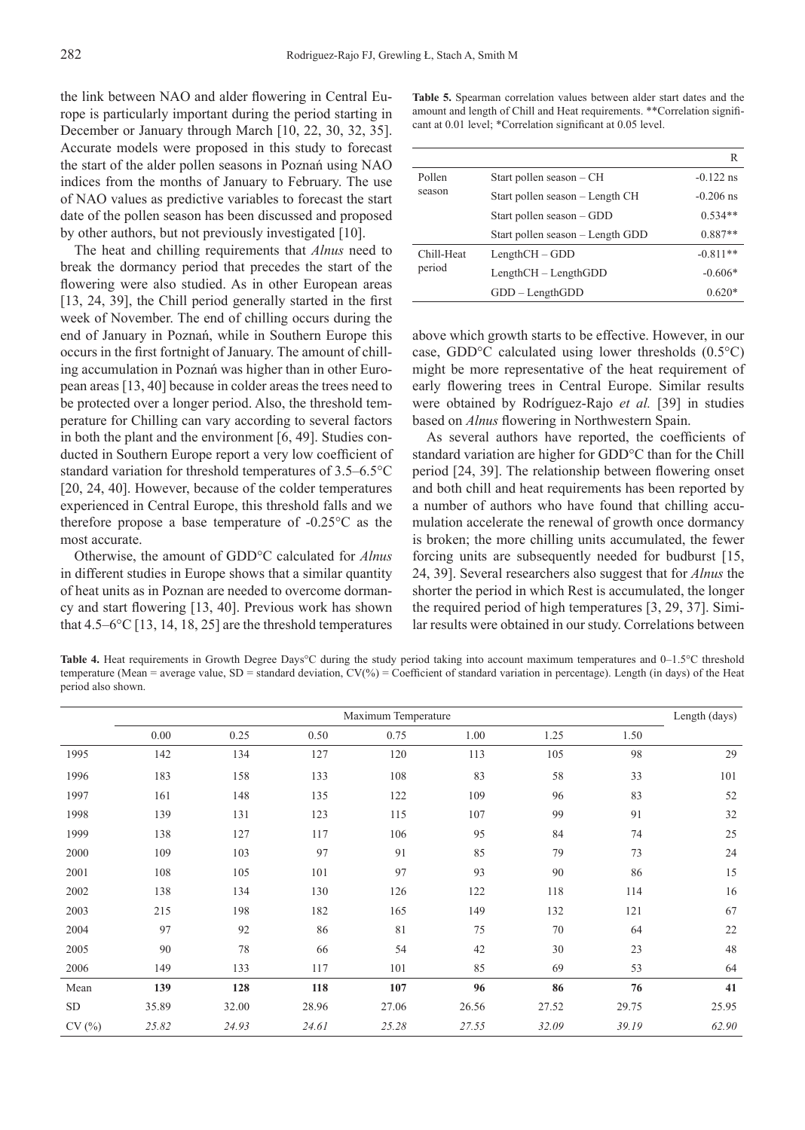the link between NAO and alder flowering in Central Europe is particularly important during the period starting in December or January through March [10, 22, 30, 32, 35]. Accurate models were proposed in this study to forecast the start of the alder pollen seasons in Poznań using NAO indices from the months of January to February. The use of NAO values as predictive variables to forecast the start date of the pollen season has been discussed and proposed by other authors, but not previously investigated [10].

The heat and chilling requirements that *Alnus* need to break the dormancy period that precedes the start of the flowering were also studied. As in other European areas [13, 24, 39], the Chill period generally started in the first week of November. The end of chilling occurs during the end of January in Poznań, while in Southern Europe this occurs in the first fortnight of January. The amount of chilling accumulation in Poznań was higher than in other European areas [13, 40] because in colder areas the trees need to be protected over a longer period. Also, the threshold temperature for Chilling can vary according to several factors in both the plant and the environment [6, 49]. Studies conducted in Southern Europe report a very low coefficient of standard variation for threshold temperatures of 3.5–6.5°C [20, 24, 40]. However, because of the colder temperatures experienced in Central Europe, this threshold falls and we therefore propose a base temperature of -0.25°C as the most accurate.

Otherwise, the amount of GDD°C calculated for *Alnus* in different studies in Europe shows that a similar quantity of heat units as in Poznan are needed to overcome dormancy and start flowering [13, 40]. Previous work has shown that  $4.5-6$ °C [13, 14, 18, 25] are the threshold temperatures

**Table 5.** Spearman correlation values between alder start dates and the amount and length of Chill and Heat requirements. \*\*Correlation significant at 0.01 level; \*Correlation significant at 0.05 level.

|            |                                  | R           |
|------------|----------------------------------|-------------|
| Pollen     | Start pollen season – CH         | $-0.122$ ns |
| season     | Start pollen season – Length CH  | $-0.206$ ns |
|            | Start pollen season – GDD        | $0.534**$   |
|            | Start pollen season – Length GDD | $0.887**$   |
| Chill-Heat | $LengthCH - GDD$                 | $-0.811**$  |
| period     | $LengthCH - LengthGDD$           | $-0.606*$   |
|            | $GDD - LengthGDD$                | $0.620*$    |

above which growth starts to be effective. However, in our case, GDD°C calculated using lower thresholds (0.5°C) might be more representative of the heat requirement of early flowering trees in Central Europe. Similar results were obtained by Rodríguez-Rajo *et al.* [39] in studies based on *Alnus* flowering in Northwestern Spain.

As several authors have reported, the coefficients of standard variation are higher for GDD°C than for the Chill period [24, 39]. The relationship between flowering onset and both chill and heat requirements has been reported by a number of authors who have found that chilling accumulation accelerate the renewal of growth once dormancy is broken; the more chilling units accumulated, the fewer forcing units are subsequently needed for budburst [15, 24, 39]. Several researchers also suggest that for *Alnus* the shorter the period in which Rest is accumulated, the longer the required period of high temperatures [3, 29, 37]. Similar results were obtained in our study. Correlations between

**Table 4.** Heat requirements in Growth Degree Days°C during the study period taking into account maximum temperatures and 0–1.5°C threshold temperature (Mean = average value, SD = standard deviation, CV(%) = Coefficient of standard variation in percentage). Length (in days) of the Heat period also shown.

|           | Maximum Temperature |       |       |       |       |       | Length (days) |       |
|-----------|---------------------|-------|-------|-------|-------|-------|---------------|-------|
|           | 0.00                | 0.25  | 0.50  | 0.75  | 1.00  | 1.25  | 1.50          |       |
| 1995      | 142                 | 134   | 127   | 120   | 113   | 105   | 98            | 29    |
| 1996      | 183                 | 158   | 133   | 108   | 83    | 58    | 33            | 101   |
| 1997      | 161                 | 148   | 135   | 122   | 109   | 96    | 83            | 52    |
| 1998      | 139                 | 131   | 123   | 115   | 107   | 99    | 91            | 32    |
| 1999      | 138                 | 127   | 117   | 106   | 95    | 84    | 74            | 25    |
| 2000      | 109                 | 103   | 97    | 91    | 85    | 79    | 73            | 24    |
| 2001      | 108                 | 105   | 101   | 97    | 93    | 90    | 86            | 15    |
| 2002      | 138                 | 134   | 130   | 126   | 122   | 118   | 114           | 16    |
| 2003      | 215                 | 198   | 182   | 165   | 149   | 132   | 121           | 67    |
| 2004      | 97                  | 92    | 86    | 81    | 75    | 70    | 64            | 22    |
| 2005      | 90                  | 78    | 66    | 54    | 42    | 30    | 23            | 48    |
| 2006      | 149                 | 133   | 117   | 101   | 85    | 69    | 53            | 64    |
| Mean      | 139                 | 128   | 118   | 107   | 96    | 86    | 76            | 41    |
| <b>SD</b> | 35.89               | 32.00 | 28.96 | 27.06 | 26.56 | 27.52 | 29.75         | 25.95 |
| CV(%)     | 25.82               | 24.93 | 24.61 | 25.28 | 27.55 | 32.09 | 39.19         | 62.90 |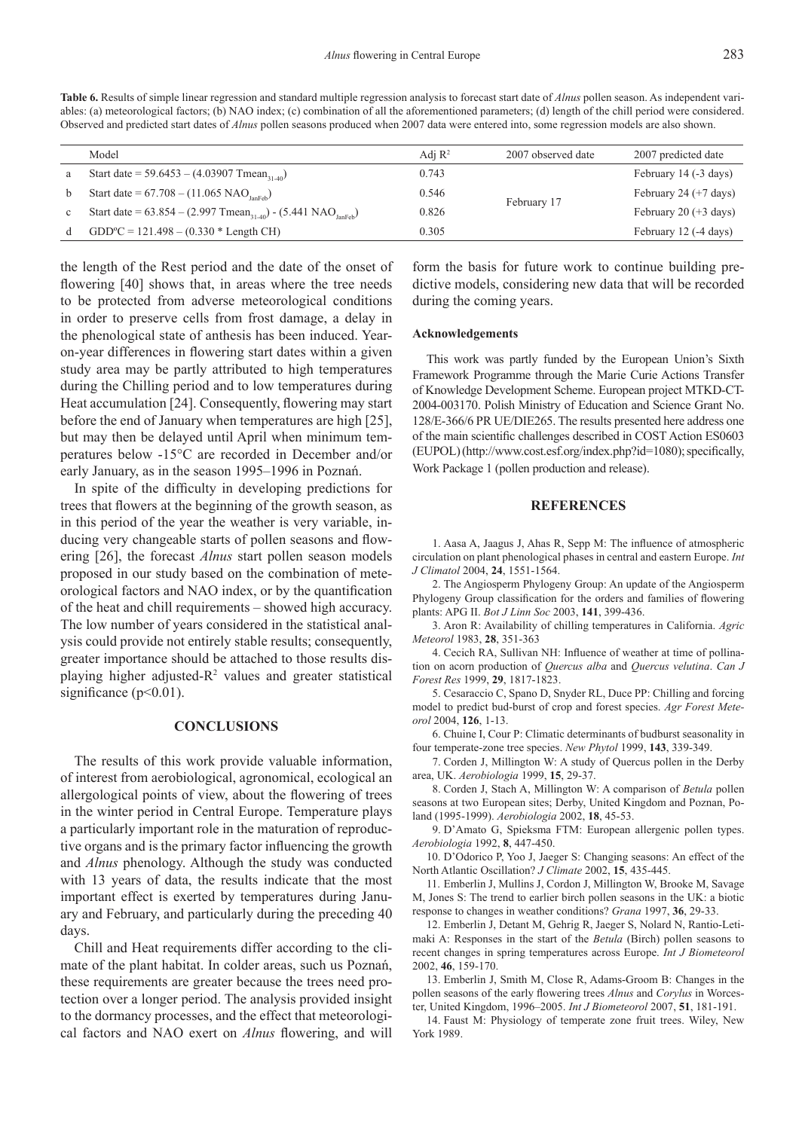**Table 6.** Results of simple linear regression and standard multiple regression analysis to forecast start date of *Alnus* pollen season. As independent variables: (a) meteorological factors; (b) NAO index; (c) combination of all the aforementioned parameters; (d) length of the chill period were considered. Observed and predicted start dates of *Alnus* pollen seasons produced when 2007 data were entered into, some regression models are also shown.

|              | Model                                                                                       | Adj $\mathbb{R}^2$ | 2007 observed date | 2007 predicted date     |
|--------------|---------------------------------------------------------------------------------------------|--------------------|--------------------|-------------------------|
| a            | Start date = 59.6453 – (4.03907 Tmean <sub>31-40</sub> )                                    | 0.743              |                    | February 14 (-3 days)   |
| b            | Start date = $67.708 - (11.065 \text{ NAO}_{\text{lanFeb}})$                                | 0.546              |                    | February 24 $(+7$ days) |
| $\mathbf{c}$ | Start date = $63.854 - (2.997 \text{ Tmean}_{31.40}) - (5.441 \text{ NAO}_{\text{IanFeb}})$ | 0.826              | February 17        | February 20 $(+3$ days) |
| d            | $GDDoC = 121.498 - (0.330 * Length CH)$                                                     | 0.305              |                    | February 12 (-4 days)   |
|              |                                                                                             |                    |                    |                         |

the length of the Rest period and the date of the onset of flowering [40] shows that, in areas where the tree needs to be protected from adverse meteorological conditions in order to preserve cells from frost damage, a delay in the phenological state of anthesis has been induced. Yearon-year differences in flowering start dates within a given study area may be partly attributed to high temperatures during the Chilling period and to low temperatures during Heat accumulation [24]. Consequently, flowering may start before the end of January when temperatures are high [25], but may then be delayed until April when minimum temperatures below -15°C are recorded in December and/or early January, as in the season 1995–1996 in Poznań.

In spite of the difficulty in developing predictions for trees that flowers at the beginning of the growth season, as in this period of the year the weather is very variable, inducing very changeable starts of pollen seasons and flowering [26], the forecast *Alnus* start pollen season models proposed in our study based on the combination of meteorological factors and NAO index, or by the quantification of the heat and chill requirements – showed high accuracy. The low number of years considered in the statistical analysis could provide not entirely stable results; consequently, greater importance should be attached to those results displaying higher adjusted- $R<sup>2</sup>$  values and greater statistical significance ( $p<0.01$ ).

#### **CONCLUSIONS**

The results of this work provide valuable information, of interest from aerobiological, agronomical, ecological an allergological points of view, about the flowering of trees in the winter period in Central Europe. Temperature plays a particularly important role in the maturation of reproductive organs and is the primary factor influencing the growth and *Alnus* phenology. Although the study was conducted with 13 years of data, the results indicate that the most important effect is exerted by temperatures during January and February, and particularly during the preceding 40 days.

Chill and Heat requirements differ according to the climate of the plant habitat. In colder areas, such us Poznań, these requirements are greater because the trees need protection over a longer period. The analysis provided insight to the dormancy processes, and the effect that meteorological factors and NAO exert on *Alnus* flowering, and will

form the basis for future work to continue building predictive models, considering new data that will be recorded during the coming years.

#### **Acknowledgements**

This work was partly funded by the European Union's Sixth Framework Programme through the Marie Curie Actions Transfer of Knowledge Development Scheme. European project MTKD-CT-2004-003170. Polish Ministry of Education and Science Grant No. 128/E-366/6 PR UE/DIE265. The results presented here address one of the main scientific challenges described in COST Action ES0603 (EUPOL) (http://www.cost.esf.org/index.php?id=1080); specifically, Work Package 1 (pollen production and release).

#### **REFERENCES**

1. Aasa A, Jaagus J, Ahas R, Sepp M: The influence of atmospheric circulation on plant phenological phases in central and eastern Europe. *Int J Climatol* 2004, **24**, 1551-1564.

2. The Angiosperm Phylogeny Group: An update of the Angiosperm Phylogeny Group classification for the orders and families of flowering plants: APG II. *Bot J Linn Soc* 2003, **141**, 399-436.

3. Aron R: Availability of chilling temperatures in California. *Agric Meteorol* 1983, **28**, 351-363

4. Cecich RA, Sullivan NH: Influence of weather at time of pollination on acorn production of *Quercus alba* and *Quercus velutina*. *Can J Forest Res* 1999, **29**, 1817-1823.

5. Cesaraccio C, Spano D, Snyder RL, Duce PP: Chilling and forcing model to predict bud-burst of crop and forest species. *Agr Forest Meteorol* 2004, **126**, 1-13.

6. Chuine I, Cour P: Climatic determinants of budburst seasonality in four temperate-zone tree species. *New Phytol* 1999, **143**, 339-349.

7. Corden J, Millington W: A study of Quercus pollen in the Derby area, UK. *Aerobiologia* 1999, **15**, 29-37.

8. Corden J, Stach A, Millington W: A comparison of *Betula* pollen seasons at two European sites; Derby, United Kingdom and Poznan, Poland (1995-1999). *Aerobiologia* 2002, **18**, 45-53.

9. D'Amato G, Spieksma FTM: European allergenic pollen types. *Aerobiologia* 1992, **8**, 447-450.

10. D'Odorico P, Yoo J, Jaeger S: Changing seasons: An effect of the North Atlantic Oscillation? *J Climate* 2002, **15**, 435-445.

11. Emberlin J, Mullins J, Cordon J, Millington W, Brooke M, Savage M, Jones S: The trend to earlier birch pollen seasons in the UK: a biotic response to changes in weather conditions? *Grana* 1997, **36**, 29-33.

12. Emberlin J, Detant M, Gehrig R, Jaeger S, Nolard N, Rantio-Letimaki A: Responses in the start of the *Betula* (Birch) pollen seasons to recent changes in spring temperatures across Europe. *Int J Biometeorol*  2002, **46**, 159-170.

13. Emberlin J, Smith M, Close R, Adams-Groom B: Changes in the pollen seasons of the early flowering trees *Alnus* and *Corylus* in Worcester, United Kingdom, 1996–2005. *Int J Biometeorol* 2007, **51**, 181-191.

14. Faust M: Physiology of temperate zone fruit trees. Wiley, New York 1989.